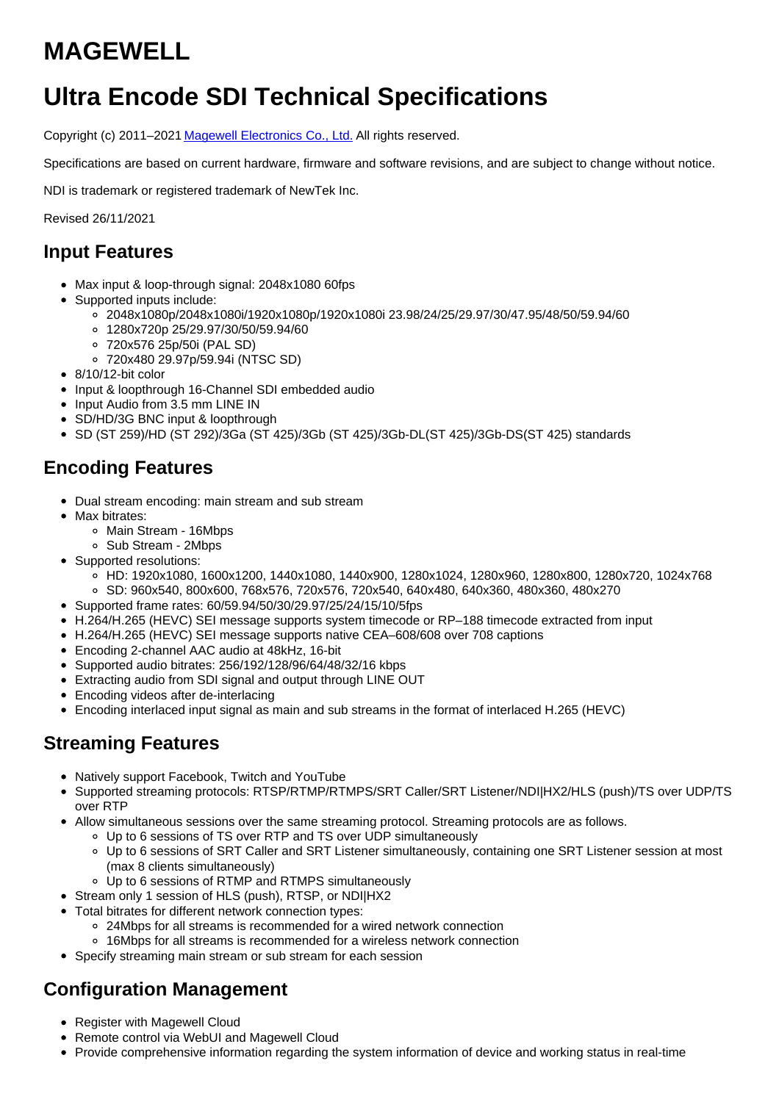# **MAGEWELL**

## **Ultra Encode SDI Technical Specifications**

Copyright (c) 2011-2021 Magewell [Electronics](http://www.magewell.com) Co., Ltd. All rights reserved.

Specifications are based on current hardware, firmware and software revisions, and are subject to change without notice.

NDI is trademark or registered trademark of NewTek Inc.

Revised 26/11/2021

#### **Input Features**

- Max input & loop-through signal: 2048x1080 60fps
- Supported inputs include:
	- 2048x1080p/2048x1080i/1920x1080p/1920x1080i 23.98/24/25/29.97/30/47.95/48/50/59.94/60
	- 1280x720p 25/29.97/30/50/59.94/60
	- 720x576 25p/50i (PAL SD)
	- 720x480 29.97p/59.94i (NTSC SD)
- 8/10/12-bit color
- Input & loopthrough 16-Channel SDI embedded audio
- Input Audio from 3.5 mm LINE IN
- SD/HD/3G BNC input & loopthrough
- SD (ST 259)/HD (ST 292)/3Ga (ST 425)/3Gb (ST 425)/3Gb-DL(ST 425)/3Gb-DS(ST 425) standards

#### **Encoding Features**

- Dual stream encoding: main stream and sub stream
- Max bitrates:
	- Main Stream 16Mbps
	- Sub Stream 2Mbps
- Supported resolutions:
	- HD: 1920x1080, 1600x1200, 1440x1080, 1440x900, 1280x1024, 1280x960, 1280x800, 1280x720, 1024x768
	- SD: 960x540, 800x600, 768x576, 720x576, 720x540, 640x480, 640x360, 480x360, 480x270
- Supported frame rates: 60/59.94/50/30/29.97/25/24/15/10/5fps
- H.264/H.265 (HEVC) SEI message supports system timecode or RP–188 timecode extracted from input
- H.264/H.265 (HEVC) SEI message supports native CEA–608/608 over 708 captions
- Encoding 2-channel AAC audio at 48kHz, 16-bit
- Supported audio bitrates: 256/192/128/96/64/48/32/16 kbps
- Extracting audio from SDI signal and output through LINE OUT
- Encoding videos after de-interlacing
- Encoding interlaced input signal as main and sub streams in the format of interlaced H.265 (HEVC)

#### **Streaming Features**

- Natively support Facebook, Twitch and YouTube
- Supported streaming protocols: RTSP/RTMP/RTMPS/SRT Caller/SRT Listener/NDI|HX2/HLS (push)/TS over UDP/TS over RTP
- Allow simultaneous sessions over the same streaming protocol. Streaming protocols are as follows.
	- Up to 6 sessions of TS over RTP and TS over UDP simultaneously
	- Up to 6 sessions of SRT Caller and SRT Listener simultaneously, containing one SRT Listener session at most (max 8 clients simultaneously)
	- Up to 6 sessions of RTMP and RTMPS simultaneously
- Stream only 1 session of HLS (push), RTSP, or NDI|HX2
- Total bitrates for different network connection types:
	- 24Mbps for all streams is recommended for a wired network connection
	- 16Mbps for all streams is recommended for a wireless network connection
- Specify streaming main stream or sub stream for each session

### **Configuration Management**

- Register with Magewell Cloud
- Remote control via WebUI and Magewell Cloud
- Provide comprehensive information regarding the system information of device and working status in real-time